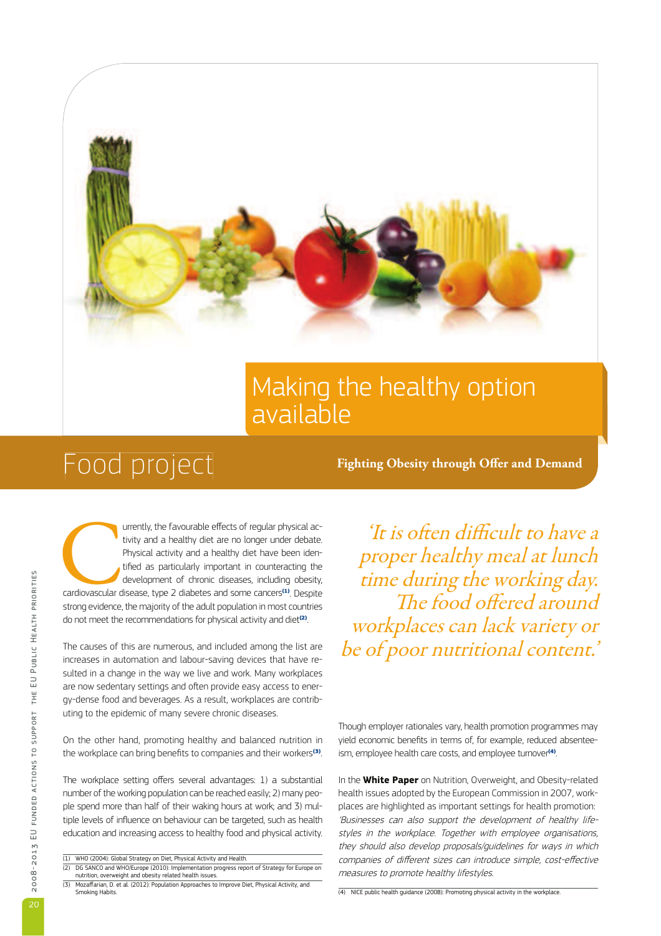

## Making the healthy option available

# FOOD DIOJECL Fighting Obesity through Offer and Demand

andiovascular d urrently, the favourable effects of regular physical activity and a healthy diet are no longer under debate. Physical activity and a healthy diet have been identified as particularly important in counteracting the development of chronic diseases, including obesity, cardiovascular disease, type 2 diabetes and some cancers(1). Despite strong evidence, the majority of the adult population in most countries do not meet the recommendations for physical activity and diet<sup>(2)</sup>. .

The causes of this are numerous, and included among the list are increases in automation and labour-saving devices that have resulted in a change in the way we live and work. Many workplaces are now sedentary settings and often provide easy access to energy-dense food and beverages. As a result, workplaces are contributing to the epidemic of many severe chronic diseases.

On the other hand, promoting healthy and balanced nutrition in the workplace can bring benefits to companies and their workers<sup>(3)</sup>.

The workplace setting offers several advantages: 1) a substantial number of the working population can be reached easily; 2) many people spend more than half of their waking hours at work; and 3) multiple levels of influence on behaviour can be targeted, such as health education and increasing access to healthy food and physical activity.

'It is often difficult to have a proper healthy meal at lunch time during the working day. The food offered around workplaces can lack variety or be of poor nutritional content.'

Though employer rationales vary, health promotion programmes may yield economic benefits in terms of, for example, reduced absenteeism, employee health care costs, and employee turnover<sup>(4)</sup>. .

In the **White Paper** on Nutrition, Overweight, and Obesity-related health issues adopted by the European Commission in 2007, workplaces are highlighted as important settings for health promotion: 'Businesses can also support the development of healthy lifestyles in the workplace. Together with employee organisations, they should also develop proposals/guidelines for ways in which companies of different sizes can introduce simple, cost-effective measures to promote healthy lifestyles.

(4) NICE public health guidance (2008): Promoting physical activity in the workplace.

<sup>(1)</sup> WHO (2004): Global Strategy on Diet, Physical Activity and Health. (2) DG SANCO and WHO/Europe (2010): Implementation progress report of Strategy for Europe on nutrition, overweight and obesity related health issues.

<sup>(3)</sup> Mozaffarian, D. et al. (2012): Population Approaches to Improve Diet, Physical Activity, and Smoking Habits.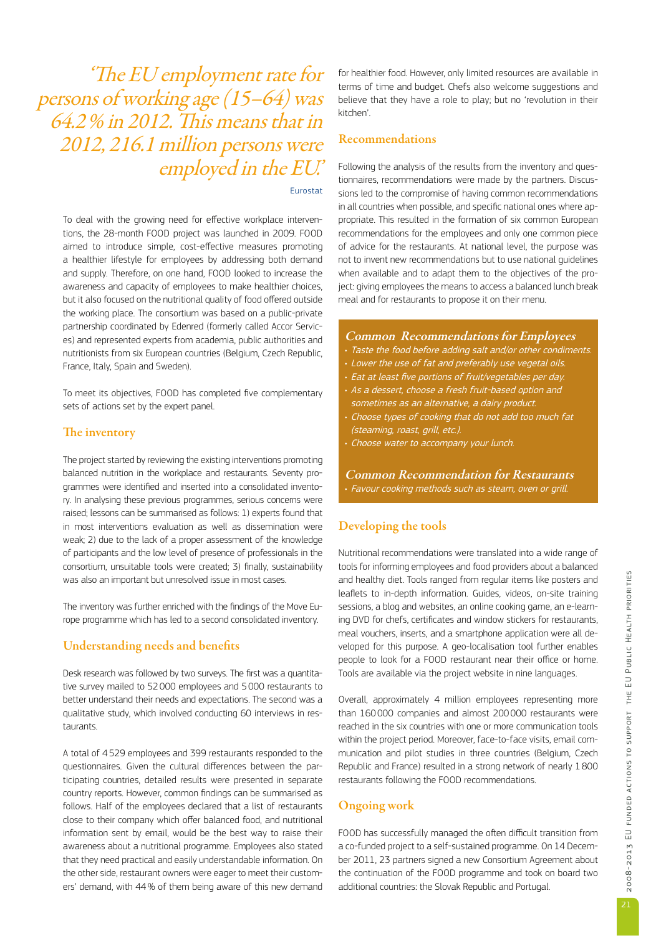'The EU employment rate for persons of working age (15–64) was  $64.2\%$  in 2012. This means that in 2012, 216.1 million persons were employed in the EU.'

#### Eurostat

To deal with the growing need for effective workplace interventions, the 28-month FOOD project was launched in 2009. FOOD aimed to introduce simple, cost-effective measures promoting a healthier lifestyle for employees by addressing both demand and supply. Therefore, on one hand, FOOD looked to increase the awareness and capacity of employees to make healthier choices, but it also focused on the nutritional quality of food offered outside the working place. The consortium was based on a public-private partnership coordinated by Edenred (formerly called Accor Services) and represented experts from academia, public authorities and nutritionists from six European countries (Belgium, Czech Republic, France, Italy, Spain and Sweden).

To meet its objectives, FOOD has completed five complementary sets of actions set by the expert panel.

#### The inventory

The project started by reviewing the existing interventions promoting balanced nutrition in the workplace and restaurants. Seventy programmes were identified and inserted into a consolidated inventory. In analysing these previous programmes, serious concerns were raised; lessons can be summarised as follows: 1) experts found that in most interventions evaluation as well as dissemination were weak; 2) due to the lack of a proper assessment of the knowledge of participants and the low level of presence of professionals in the consortium, unsuitable tools were created; 3) finally, sustainability was also an important but unresolved issue in most cases.

The inventory was further enriched with the findings of the Move Europe programme which has led to a second consolidated inventory.

#### Understanding needs and benefits

Desk research was followed by two surveys. The first was a quantitative survey mailed to 52 000 employees and 5 000 restaurants to better understand their needs and expectations. The second was a qualitative study, which involved conducting 60 interviews in restaurants.

A total of 4 529 employees and 399 restaurants responded to the questionnaires. Given the cultural differences between the participating countries, detailed results were presented in separate country reports. However, common findings can be summarised as follows. Half of the employees declared that a list of restaurants close to their company which offer balanced food, and nutritional information sent by email, would be the best way to raise their awareness about a nutritional programme. Employees also stated that they need practical and easily understandable information. On the other side, restaurant owners were eager to meet their customers' demand, with 44 % of them being aware of this new demand

for healthier food. However, only limited resources are available in terms of time and budget. Chefs also welcome suggestions and believe that they have a role to play; but no 'revolution in their kitchen'.

#### Recommendations

Following the analysis of the results from the inventory and questionnaires, recommendations were made by the partners. Discussions led to the compromise of having common recommendations in all countries when possible, and specific national ones where appropriate. This resulted in the formation of six common European recommendations for the employees and only one common piece of advice for the restaurants. At national level, the purpose was not to invent new recommendations but to use national guidelines when available and to adapt them to the objectives of the project: giving employees the means to access a balanced lunch break meal and for restaurants to propose it on their menu.

#### Common Recommendations for Employees

- Taste the food before adding salt and/or other condiments.
- Lower the use of fat and preferably use vegetal oils.
- Eat at least five portions of fruit/vegetables per day.
- As a dessert, choose a fresh fruit-based option and sometimes as an alternative, a dairy product.
- Choose types of cooking that do not add too much fat (steaming, roast, grill, etc.).
- Choose water to accompany your lunch.

Common Recommendation for Restaurants • Favour cooking methods such as steam, oven or grill.

#### Developing the tools

Nutritional recommendations were translated into a wide range of tools for informing employees and food providers about a balanced and healthy diet. Tools ranged from regular items like posters and leaflets to in-depth information. Guides, videos, on-site training sessions, a blog and websites, an online cooking game, an e-learning DVD for chefs, certificates and window stickers for restaurants, meal vouchers, inserts, and a smartphone application were all developed for this purpose. A geo-localisation tool further enables people to look for a FOOD restaurant near their office or home. Tools are available via the project website in nine languages.

Overall, approximately 4 million employees representing more than 160 000 companies and almost 200 000 restaurants were reached in the six countries with one or more communication tools within the project period. Moreover, face-to-face visits, email communication and pilot studies in three countries (Belgium, Czech Republic and France) resulted in a strong network of nearly 1 800 restaurants following the FOOD recommendations.

#### Ongoing work

FOOD has successfully managed the often difficult transition from a co-funded project to a self-sustained programme. On 14 December 2011, 23 partners signed a new Consortium Agreement about the continuation of the FOOD programme and took on board two additional countries: the Slovak Republic and Portugal.